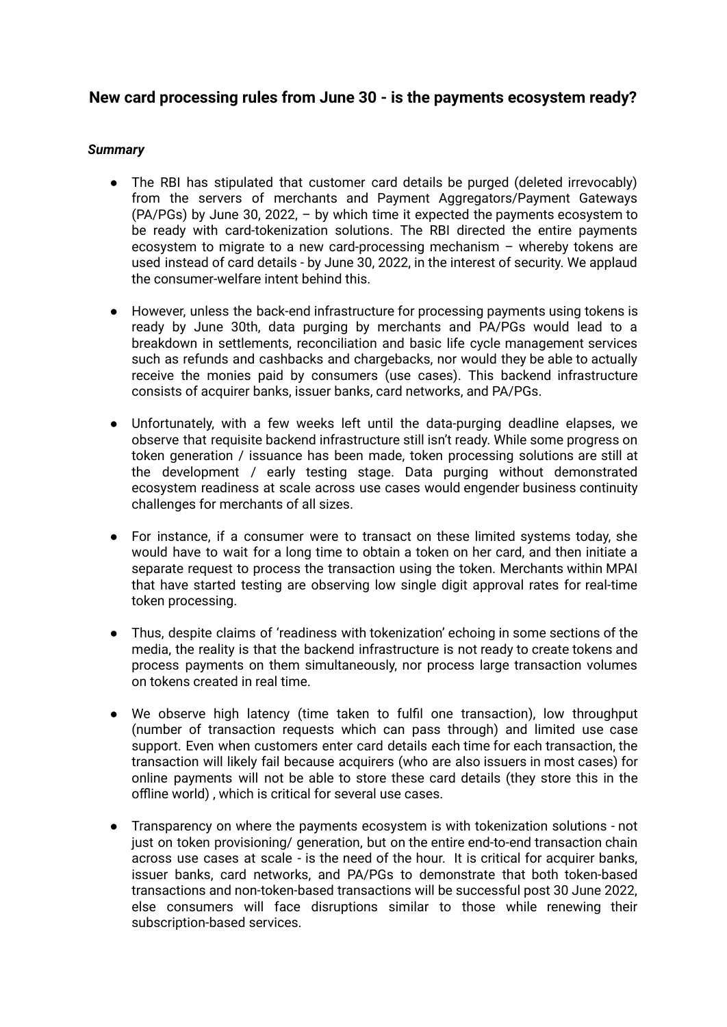# **New card processing rules from June 30 - is the payments ecosystem ready?**

# *Summary*

- The RBI has stipulated that customer card details be purged (deleted irrevocably) from the servers of merchants and Payment Aggregators/Payment Gateways (PA/PGs) by June 30, 2022, – by which time it expected the payments ecosystem to be ready with card-tokenization solutions. The RBI directed the entire payments ecosystem to migrate to a new card-processing mechanism – whereby tokens are used instead of card details - by June 30, 2022, in the interest of security. We applaud the consumer-welfare intent behind this.
- However, unless the back-end infrastructure for processing payments using tokens is ready by June 30th, data purging by merchants and PA/PGs would lead to a breakdown in settlements, reconciliation and basic life cycle management services such as refunds and cashbacks and chargebacks, nor would they be able to actually receive the monies paid by consumers (use cases). This backend infrastructure consists of acquirer banks, issuer banks, card networks, and PA/PGs.
- Unfortunately, with a few weeks left until the data-purging deadline elapses, we observe that requisite backend infrastructure still isn't ready. While some progress on token generation / issuance has been made, token processing solutions are still at the development / early testing stage. Data purging without demonstrated ecosystem readiness at scale across use cases would engender business continuity challenges for merchants of all sizes.
- For instance, if a consumer were to transact on these limited systems today, she would have to wait for a long time to obtain a token on her card, and then initiate a separate request to process the transaction using the token. Merchants within MPAI that have started testing are observing low single digit approval rates for real-time token processing.
- Thus, despite claims of 'readiness with tokenization' echoing in some sections of the media, the reality is that the backend infrastructure is not ready to create tokens and process payments on them simultaneously, nor process large transaction volumes on tokens created in real time.
- We observe high latency (time taken to fulfil one transaction), low throughput (number of transaction requests which can pass through) and limited use case support. Even when customers enter card details each time for each transaction, the transaction will likely fail because acquirers (who are also issuers in most cases) for online payments will not be able to store these card details (they store this in the offline world) , which is critical for several use cases.
- Transparency on where the payments ecosystem is with tokenization solutions not just on token provisioning/ generation, but on the entire end-to-end transaction chain across use cases at scale - is the need of the hour. It is critical for acquirer banks, issuer banks, card networks, and PA/PGs to demonstrate that both token-based transactions and non-token-based transactions will be successful post 30 June 2022, else consumers will face disruptions similar to those while renewing their subscription-based services.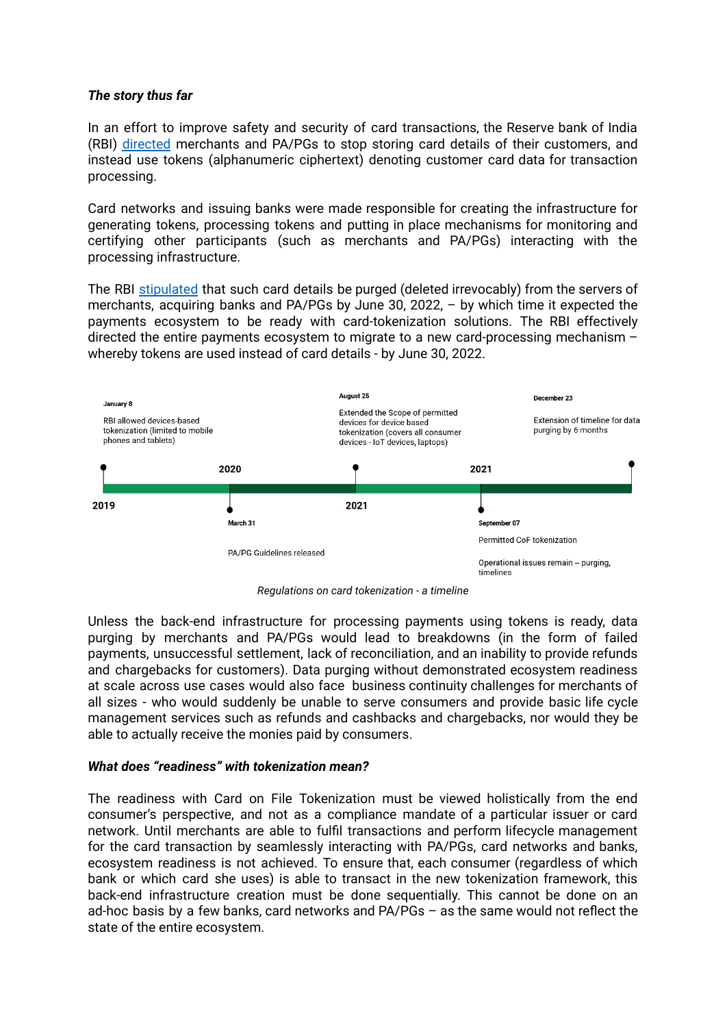## *The story thus far*

In an effort to improve safety and security of card transactions, the Reserve bank of India (RBI) [directed](https://rbi.org.in/Scripts/NotificationUser.aspx?Id=12159&Mode=0) merchants and PA/PGs to stop storing card details of their customers, and instead use tokens (alphanumeric ciphertext) denoting customer card data for transaction processing.

Card networks and issuing banks were made responsible for creating the infrastructure for generating tokens, processing tokens and putting in place mechanisms for monitoring and certifying other participants (such as merchants and PA/PGs) interacting with the processing infrastructure.

The RBI [stipulated](https://rbi.org.in/Scripts/NotificationUser.aspx?Id=12211&Mode=0) that such card details be purged (deleted irrevocably) from the servers of merchants, acquiring banks and PA/PGs by June 30, 2022, – by which time it expected the payments ecosystem to be ready with card-tokenization solutions. The RBI effectively directed the entire payments ecosystem to migrate to a new card-processing mechanism – whereby tokens are used instead of card details - by June 30, 2022.



*Regulations on card tokenization - a timeline*

Unless the back-end infrastructure for processing payments using tokens is ready, data purging by merchants and PA/PGs would lead to breakdowns (in the form of failed payments, unsuccessful settlement, lack of reconciliation, and an inability to provide refunds and chargebacks for customers). Data purging without demonstrated ecosystem readiness at scale across use cases would also face business continuity challenges for merchants of all sizes - who would suddenly be unable to serve consumers and provide basic life cycle management services such as refunds and cashbacks and chargebacks, nor would they be able to actually receive the monies paid by consumers.

#### *What does "readiness" with tokenization mean?*

The readiness with Card on File Tokenization must be viewed holistically from the end consumer's perspective, and not as a compliance mandate of a particular issuer or card network. Until merchants are able to fulfil transactions and perform lifecycle management for the card transaction by seamlessly interacting with PA/PGs, card networks and banks, ecosystem readiness is not achieved. To ensure that, each consumer (regardless of which bank or which card she uses) is able to transact in the new tokenization framework, this back-end infrastructure creation must be done sequentially. This cannot be done on an ad-hoc basis by a few banks, card networks and PA/PGs – as the same would not reflect the state of the entire ecosystem.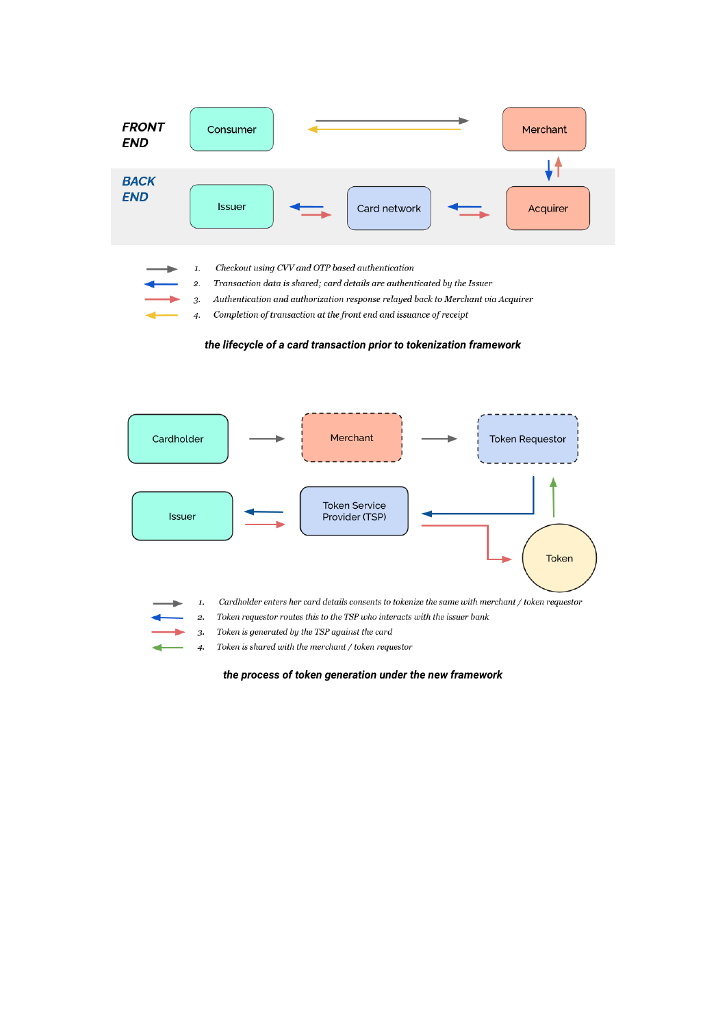| <b>FRONT</b><br><b>END</b> | Merchant<br>Consumer                                                                                                                                                                                                                                                                                                                                           |
|----------------------------|----------------------------------------------------------------------------------------------------------------------------------------------------------------------------------------------------------------------------------------------------------------------------------------------------------------------------------------------------------------|
| <b>BACK</b><br><b>END</b>  | <b>Issuer</b><br>Card network<br>Acquirer                                                                                                                                                                                                                                                                                                                      |
|                            | Checkout using CVV and OTP based authentication<br>$\mathbf{1}$ .<br>Transaction data is shared; card details are authenticated by the Issuer<br>2.<br>Authentication and authorization response relayed back to Merchant via Acquirer<br>3.<br>- Contract Andreas Andreas Andreas Andreas Andreas Andreas Andreas Andreas Andreas Andreas Andreas Andreas And |

Completion of transaction at the front end and issuance of receipt  $\overline{4}$ 

*the lifecycle of a card transaction prior to tokenization framework*



Token is shared with the merchant / token requestor  $\overline{4}$ 

*the process of token generation under the new framework*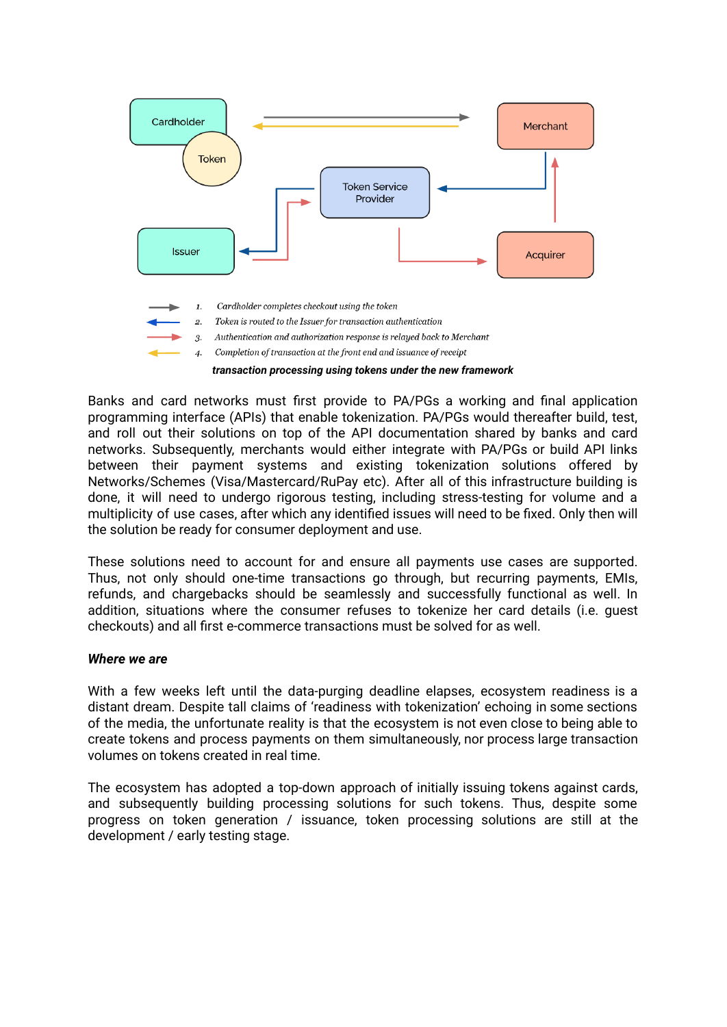

Banks and card networks must first provide to PA/PGs a working and final application programming interface (APIs) that enable tokenization. PA/PGs would thereafter build, test, and roll out their solutions on top of the API documentation shared by banks and card networks. Subsequently, merchants would either integrate with PA/PGs or build API links between their payment systems and existing tokenization solutions offered by Networks/Schemes (Visa/Mastercard/RuPay etc). After all of this infrastructure building is done, it will need to undergo rigorous testing, including stress-testing for volume and a multiplicity of use cases, after which any identified issues will need to be fixed. Only then will the solution be ready for consumer deployment and use.

These solutions need to account for and ensure all payments use cases are supported. Thus, not only should one-time transactions go through, but recurring payments, EMIs, refunds, and chargebacks should be seamlessly and successfully functional as well. In addition, situations where the consumer refuses to tokenize her card details (i.e. guest checkouts) and all first e-commerce transactions must be solved for as well.

#### *Where we are*

With a few weeks left until the data-purging deadline elapses, ecosystem readiness is a distant dream. Despite tall claims of 'readiness with tokenization' echoing in some sections of the media, the unfortunate reality is that the ecosystem is not even close to being able to create tokens and process payments on them simultaneously, nor process large transaction volumes on tokens created in real time.

The ecosystem has adopted a top-down approach of initially issuing tokens against cards, and subsequently building processing solutions for such tokens. Thus, despite some progress on token generation / issuance, token processing solutions are still at the development / early testing stage.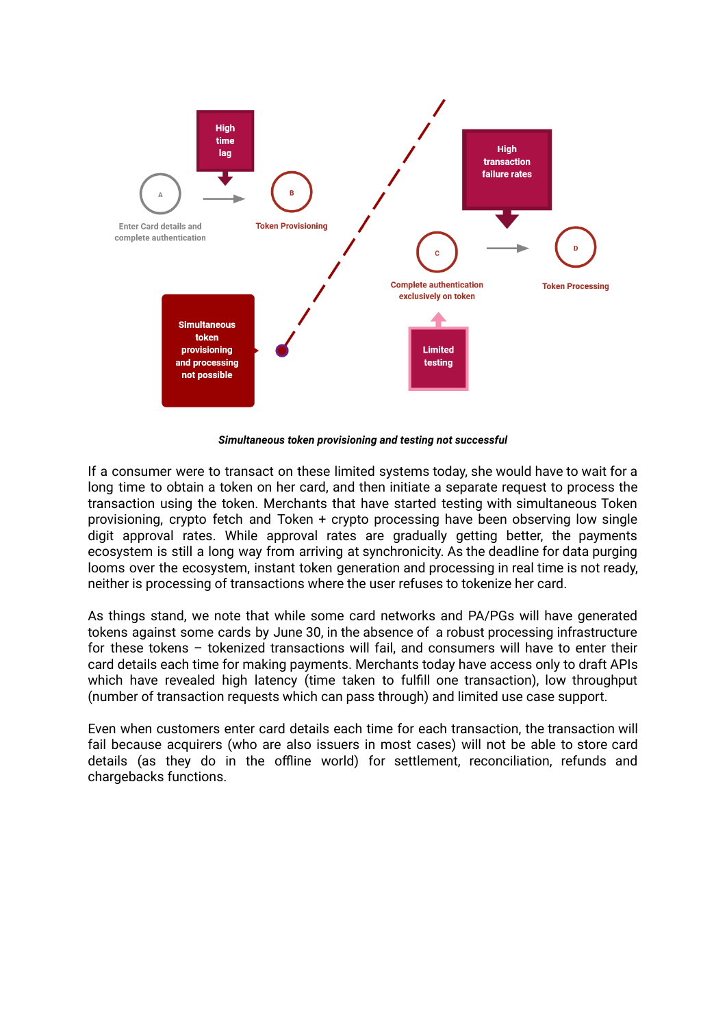

*Simultaneous token provisioning and testing not successful*

If a consumer were to transact on these limited systems today, she would have to wait for a long time to obtain a token on her card, and then initiate a separate request to process the transaction using the token. Merchants that have started testing with simultaneous Token provisioning, crypto fetch and Token + crypto processing have been observing low single digit approval rates. While approval rates are gradually getting better, the payments ecosystem is still a long way from arriving at synchronicity. As the deadline for data purging looms over the ecosystem, instant token generation and processing in real time is not ready, neither is processing of transactions where the user refuses to tokenize her card.

As things stand, we note that while some card networks and PA/PGs will have generated tokens against some cards by June 30, in the absence of a robust processing infrastructure for these tokens – tokenized transactions will fail, and consumers will have to enter their card details each time for making payments. Merchants today have access only to draft APIs which have revealed high latency (time taken to fulfill one transaction), low throughput (number of transaction requests which can pass through) and limited use case support.

Even when customers enter card details each time for each transaction, the transaction will fail because acquirers (who are also issuers in most cases) will not be able to store card details (as they do in the offline world) for settlement, reconciliation, refunds and chargebacks functions.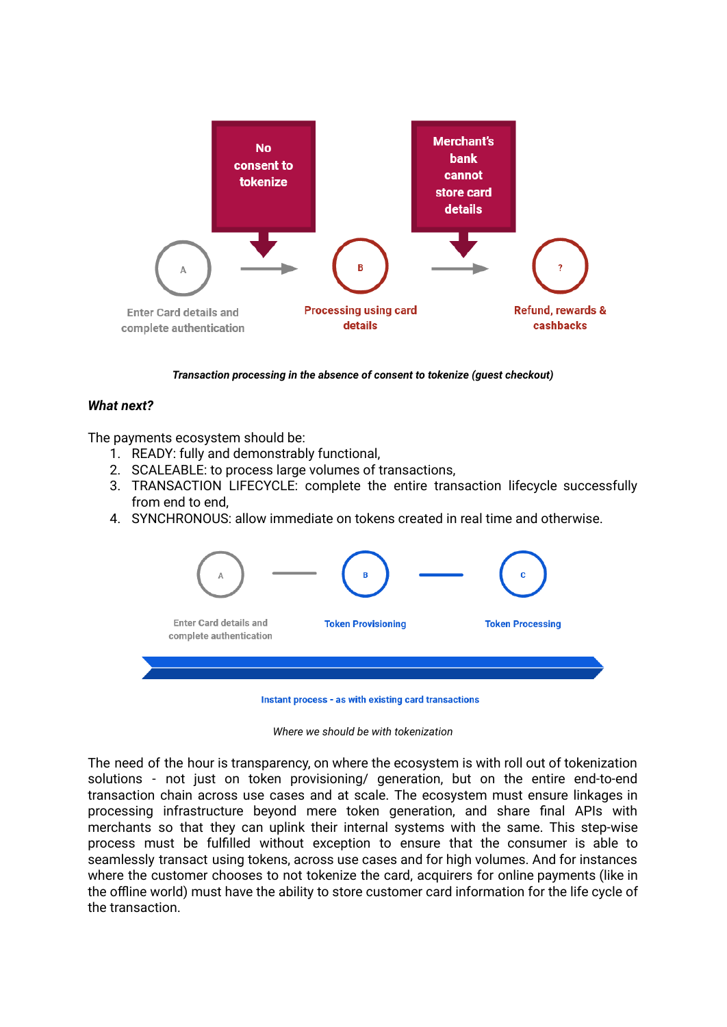

*Transaction processing in the absence of consent to tokenize (guest checkout)*

## *What next?*

The payments ecosystem should be:

- 1. READY: fully and demonstrably functional,
- 2. SCALEABLE: to process large volumes of transactions,
- 3. TRANSACTION LIFECYCLE: complete the entire transaction lifecycle successfully from end to end,
- 4. SYNCHRONOUS: allow immediate on tokens created in real time and otherwise.



Instant process - as with existing card transactions

*Where we should be with tokenization*

The need of the hour is transparency, on where the ecosystem is with roll out of tokenization solutions - not just on token provisioning/ generation, but on the entire end-to-end transaction chain across use cases and at scale. The ecosystem must ensure linkages in processing infrastructure beyond mere token generation, and share final APIs with merchants so that they can uplink their internal systems with the same. This step-wise process must be fulfilled without exception to ensure that the consumer is able to seamlessly transact using tokens, across use cases and for high volumes. And for instances where the customer chooses to not tokenize the card, acquirers for online payments (like in the offline world) must have the ability to store customer card information for the life cycle of the transaction.